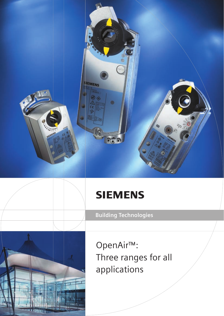# **SIEMENS**

**IEMENS** 

ø

O





OpenAir™: Three ranges for all applications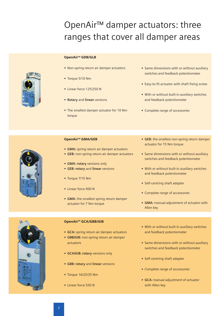## OpenAir™ damper actuators: three ranges that cover all damper areas

#### OpenAir<sup>™</sup> GDB/GLB

- **•** Non-spring return air damper actuators
- **•** Torque 5/10 Nm
- **•** Linear force 125/250 N
- **Rotary** and **linear** versions
- **•** The smallest damper actuator for 10 Nm torque
- **•** Same dimensions with or without auxiliary switches and feedback potentiometer
- **•** Easy-to-fit actuator with shaft fixing screw
- **•** With or without built-in auxiliary switches and feedback potentiometer
- **•** Complete range of accessories



#### OpenAir<sup>™</sup> GMA/GEB

- **GMA:** spring return air damper actuators
- **GEB:** non-spring return air damper actuators
- **GMA: rotary** versions only
- **GEB: rotary** and **linear** versions
- **•** Torque 7/15 Nm
- **•** Linear force 400 N
- **GMA:** the smallest spring return damper actuator for 7 Nm torque
- **GEB:** the smallest non-spring return damper actuator for 15 Nm torque
- **•** Same dimensions with or without auxiliary switches and feedback potentiometer
- **•** With or without built-in auxiliary switches and feedback potentiometer
- **•** Self-centring shaft adapter
- **•** Complete range of accessories
- **GMA:** manual adjustment of actuator with Allen key



#### OpenAir<sup>™</sup> GCA/GBB/GIB

- **GCA:** spring return air damper actuators
- **GBB/GIB:** non-spring return air damper actuators
- **GCA/GIB: rotary** versions only
- **GBB: rotary** and **linear** versions
- **•** Torque 16/25/35 Nm
- **•** Linear force 550 N
- **•** With or without built-in auxiliary switches and feedback potentiometer
- **•** Same dimensions with or without auxiliary switches and feedback potentiometer
- **•** Self-centring shaft adapter
- **•** Complete range of accessories
- **GCA:** manual adjustment of actuator with Allen key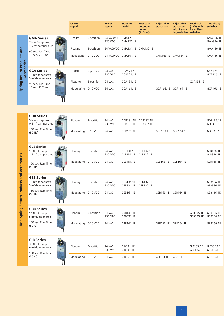|                                                  |                                                                                             | <b>Control</b><br>signal |            | <b>Power</b><br>supply       | <b>Standard</b><br>model | <b>Feedback</b><br>potentio-<br>meter<br>(1kOhm) | <b>Adjustable</b><br>start/span | <b>Adjustable</b><br>start/span<br>with 2 auxi-<br>liary switches | <b>Feedback</b><br>$(1k\Omega)$ with<br>2 auxiliary<br>switches | <b>2 Auxiliary</b><br>switches |
|--------------------------------------------------|---------------------------------------------------------------------------------------------|--------------------------|------------|------------------------------|--------------------------|--------------------------------------------------|---------------------------------|-------------------------------------------------------------------|-----------------------------------------------------------------|--------------------------------|
| Spring Return Products and<br><b>Accessories</b> | <b>GMA Series</b><br>7 Nm for approx.                                                       | On/Off                   | 2-position | 24 VAC/VDC<br><b>230 VAC</b> | GMA121.1E<br>GMA321.1E   |                                                  |                                 |                                                                   |                                                                 | GMA126.1E<br>GMA326.1E         |
|                                                  | 1.5 m <sup>2</sup> damper area<br>90 sec. Run Time                                          | Floating                 | 3-position | 24 VAC/VDC                   | GMA131.1E                | GMA132.1E                                        |                                 |                                                                   |                                                                 | GMA136.1E                      |
|                                                  | 15 sec. SR Time                                                                             | Modulating               | 0-10 VDC   | 24 VAC/VDC                   | GMA161.1E                |                                                  | GMA163.1E                       | GMA164.1E                                                         |                                                                 | GMA166.1E                      |
|                                                  | <b>GCA Series</b><br>16 Nm for approx.                                                      | On/Off                   | 2-position | 24 VAC<br><b>230 VAC</b>     | GCA121.1E<br>GCA321.1E   |                                                  |                                 |                                                                   |                                                                 | GCA126.1E<br>GCA326.1E         |
|                                                  | $3 m2$ damper area<br>90 sec. Run Time                                                      | Floating                 | 3-position | 24 VAC                       | GCA131.1E                |                                                  |                                 |                                                                   | GCA135.1E                                                       |                                |
|                                                  | 15 sec. SR Time                                                                             | Modulating 0-10 VDC      |            | 24 VAC                       | GCA161.1E                |                                                  | GCA163.1E                       | GCA164.1E                                                         |                                                                 | GCA166.1E                      |
|                                                  |                                                                                             |                          |            |                              |                          |                                                  |                                 |                                                                   |                                                                 |                                |
| Non-Spring Return Products and Accessories       | <b>GDB Series</b><br>5 Nm for approx.<br>0.8 m <sup>2</sup> damper area                     | Floating                 | 3-position | 24 VAC<br><b>230 VAC</b>     | GDB131.1E<br>GDB331.1E   | GDB132.1E<br>GDB332.1E                           |                                 |                                                                   |                                                                 | GDB136.1E<br>GDB336.1E         |
|                                                  | 150 sec. Run Time<br>(50 Hz)                                                                | Modulating 0-10 VDC      |            | 24 VAC                       | GDB161.1E                |                                                  | GDB163.1E                       | GDB164.1E                                                         |                                                                 | GDB166.1E                      |
|                                                  | <b>GLB Series</b><br>10 Nm for approx.<br>1.5 m <sup>2</sup> damper area                    | Floating                 | 3-position | 24 VAC<br><b>230 VAC</b>     | GLB131.1E<br>GLB331.1E   | GLB132.1E<br>GLB332.1E                           |                                 |                                                                   |                                                                 | GLB136.1E<br>GLB336.1E         |
|                                                  | 150 sec. Run Time<br>(50 Hz)                                                                | Modulating               | 0-10 VDC   | 24 VAC                       | GLB161.1E                |                                                  | GLB163.1E                       | GLB164.1E                                                         |                                                                 | GLB166.1E                      |
|                                                  | <b>GEB Series</b><br>15 Nm for approx.<br>3 m <sup>2</sup> damper area                      | Floating                 | 3-position | 24 VAC<br><b>230 VAC</b>     | GEB131.1E<br>GEB331.1E   | GEB132.1E<br>GEB332.1E                           |                                 |                                                                   |                                                                 | GEB136.1E<br>GEB336.1E         |
|                                                  | 150 sec. Run Time<br>(50 Hz)                                                                | Modulating 0-10 VDC      |            | 24 VAC                       | GEB161.1E                |                                                  | GEB163.1E                       | GEB164.1E                                                         |                                                                 | GEB166.1E                      |
|                                                  | <b>GBB Series</b><br>25 Nm for approx.<br>5 m <sup>2</sup> damper area                      | Floating                 | 3-position | 24 VAC<br>230 VAC            | GBB131.1E<br>GBB331.1E   |                                                  |                                 |                                                                   | GBB135.1E<br>GBB335.1E                                          | GBB136.1E<br>GBB336.1E         |
|                                                  | 150 sec. Run Time<br>(50Hz)                                                                 | Modulating 0-10 VDC      |            | 24 VAC                       | GBB161.1E                |                                                  | GBB163.1E                       | GBB164.1E                                                         |                                                                 | GBB166.1E                      |
|                                                  | <b>GIB Series</b><br>35 Nm for approx.<br>6 m <sup>2</sup> damper area<br>150 sec. Run Time | Floating                 | 3-position | 24 VAC<br>230 VAC            | GIB131.1E<br>GIB331.1E   |                                                  |                                 |                                                                   | GIB135.1E<br>GIB335.1E                                          | GIB336.1E<br>GIB336.1E         |
|                                                  | (50Hz)                                                                                      | Modulating               | 0-10 VDC   | 24 VAC                       | GIB161.1E                |                                                  | GIB163.1E                       | GIB164.1E                                                         |                                                                 | GIB166.1E                      |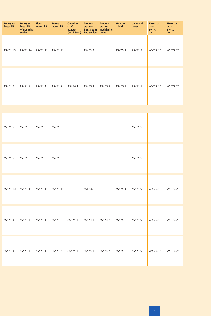| <b>Rotary to</b><br>linear kit | <b>Rotary to</b><br>linear kit<br>w/mounting<br>bracket | <b>Floor</b><br>mount kit | <b>Frame</b><br>mount kit | <b>Oversized</b><br>shaft<br>adapter<br>(to 26.5mm) | <b>Tandem</b><br>bracket-<br>2 pt./3 pt. &<br>Elec. tandem control | <b>Tandem</b><br><b>bracket</b><br>modulating | <b>Weather</b><br>shield | <b>Universal</b><br>Lever | <b>External</b><br>aux<br>switch<br>1x | <b>External</b><br>aux<br>switch<br>2x |
|--------------------------------|---------------------------------------------------------|---------------------------|---------------------------|-----------------------------------------------------|--------------------------------------------------------------------|-----------------------------------------------|--------------------------|---------------------------|----------------------------------------|----------------------------------------|
| ASK71.13                       | ASK71.14                                                | ASK71.11                  | ASK71.11                  |                                                     | ASK73.3                                                            |                                               | ASK75.3                  | ASK71.9                   | ASC77.1E                               | ASC77.2E                               |
| ASK71.3                        | ASK71.4                                                 | ASK71.1                   | ASK71.2                   | ASK74.1                                             | ASK73.1                                                            | ASK73.2                                       | ASK75.1                  | ASK71.9                   | ASC77.1E                               | ASC77.2E                               |

| ASK71.5  | ASK71.6  | ASK71.6  | ASK71.6  |         |         |         |         | ASK71.9 |          |          |
|----------|----------|----------|----------|---------|---------|---------|---------|---------|----------|----------|
| ASK71.5  | ASK71.6  | ASK71.6  | ASK71.6  |         |         |         |         | ASK71.9 |          |          |
| ASK71.13 | ASK71.14 | ASK71.11 | ASK71.11 |         | ASK73.3 |         | ASK75.3 | ASK71.9 | ASC77.1E | ASC77.2E |
| ASK71.3  | ASK71.4  | ASK71.1  | ASK71.2  | ASK74.1 | ASK73.1 | ASK73.2 | ASK75.1 | ASK71.9 | ASC77.1E | ASC77.2E |
| ASK71.3  | ASK71.4  | ASK71.1  | ASK71.2  | ASK74.1 | ASK73.1 | ASK73.2 | ASK75.1 | ASK71.9 | ASC77.1E | ASC77.2E |